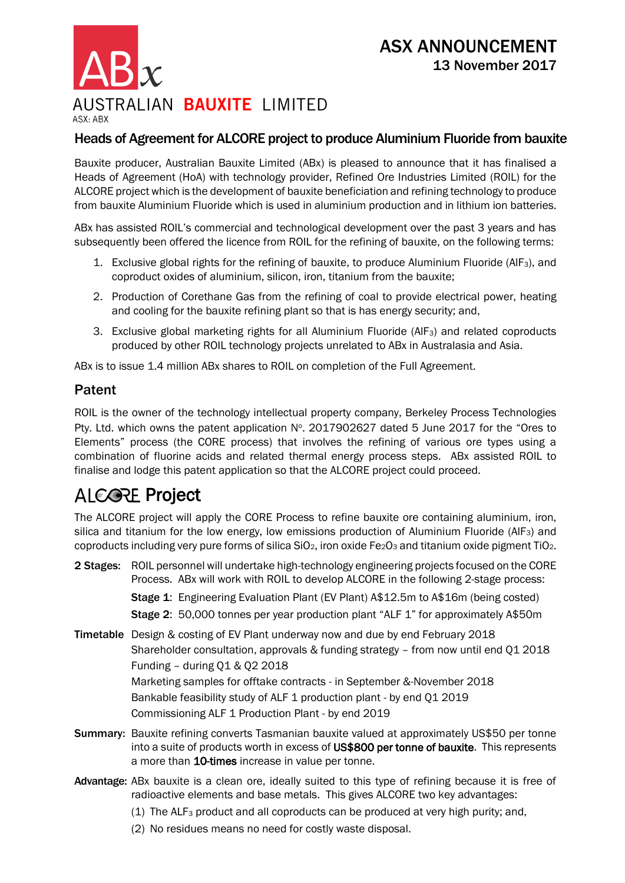AUSTRALIAN BAUXITE LIMITED ASX-ARX

### Heads of Agreement for ALCORE project to produce Aluminium Fluoride from bauxite

Bauxite producer, Australian Bauxite Limited (ABx) is pleased to announce that it has finalised a Heads of Agreement (HoA) with technology provider, Refined Ore Industries Limited (ROIL) for the ALCORE project which is the development of bauxite beneficiation and refining technology to produce from bauxite Aluminium Fluoride which is used in aluminium production and in lithium ion batteries.

ABx has assisted ROIL's commercial and technological development over the past 3 years and has subsequently been offered the licence from ROIL for the refining of bauxite, on the following terms:

- 1. Exclusive global rights for the refining of bauxite, to produce Aluminium Fluoride (AlF3), and coproduct oxides of aluminium, silicon, iron, titanium from the bauxite;
- 2. Production of Corethane Gas from the refining of coal to provide electrical power, heating and cooling for the bauxite refining plant so that is has energy security; and,
- 3. Exclusive global marketing rights for all Aluminium Fluoride (AlF<sub>3</sub>) and related coproducts produced by other ROIL technology projects unrelated to ABx in Australasia and Asia.

ABx is to issue 1.4 million ABx shares to ROIL on completion of the Full Agreement.

### Patent

ROIL is the owner of the technology intellectual property company, Berkeley Process Technologies Pty. Ltd. which owns the patent application N°. 2017902627 dated 5 June 2017 for the "Ores to Elements" process (the CORE process) that involves the refining of various ore types using a combination of fluorine acids and related thermal energy process steps. ABx assisted ROIL to finalise and lodge this patent application so that the ALCORE project could proceed.

# **ALCOPE Project**

The ALCORE project will apply the CORE Process to refine bauxite ore containing aluminium, iron, silica and titanium for the low energy, low emissions production of Aluminium Fluoride (AlF<sub>3</sub>) and coproducts including very pure forms of silica  $SiO<sub>2</sub>$ , iron oxide Fe<sub>2</sub>O<sub>3</sub> and titanium oxide pigment TiO<sub>2</sub>.

- 2 Stages: ROIL personnel will undertake high-technology engineering projects focused on the CORE Process. ABx will work with ROIL to develop ALCORE in the following 2-stage process: Stage 1: Engineering Evaluation Plant (EV Plant) A\$12.5m to A\$16m (being costed)
	- Stage 2: 50,000 tonnes per year production plant "ALF 1" for approximately A\$50m
- Timetable Design & costing of EV Plant underway now and due by end February 2018 Shareholder consultation, approvals & funding strategy  $-$  from now until end Q1 2018 Funding – during Q1 & Q2 2018 Marketing samples for offtake contracts - in September &-November 2018 Bankable feasibility study of ALF 1 production plant - by end Q1 2019 Commissioning ALF 1 Production Plant - by end 2019
- Summary: Bauxite refining converts Tasmanian bauxite valued at approximately US\$50 per tonne into a suite of products worth in excess of US\$800 per tonne of bauxite. This represents a more than 10-times increase in value per tonne.
- Advantage: ABx bauxite is a clean ore, ideally suited to this type of refining because it is free of radioactive elements and base metals. This gives ALCORE two key advantages:
	- (1) The  $ALF_3$  product and all coproducts can be produced at very high purity; and,
	- (2) No residues means no need for costly waste disposal.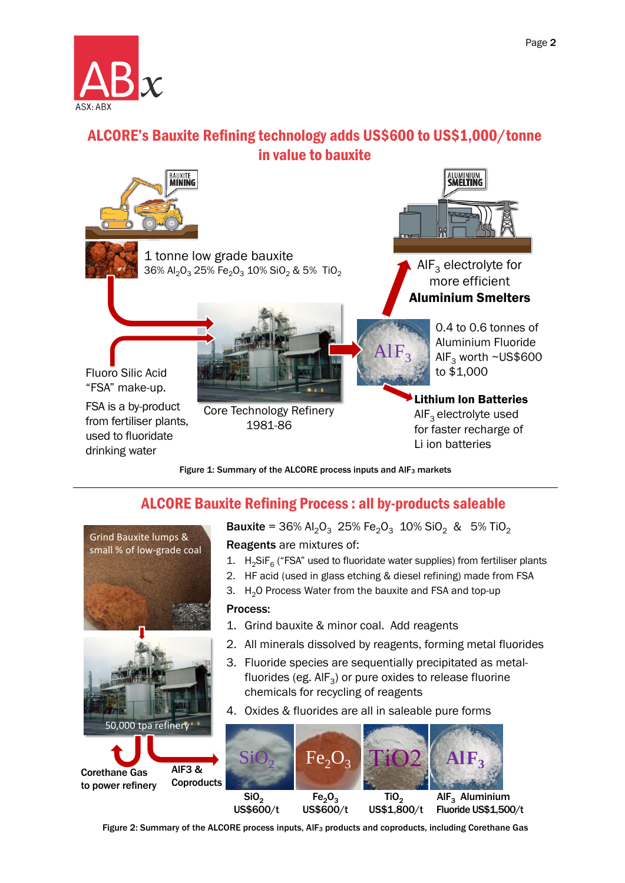

## ALCORE's Bauxite Refining technology adds US\$600 to US\$1,000/tonne in value to bauxite



Figure 1: Summary of the ALCORE process inputs and AIF<sub>3</sub> markets

## ALCORE Bauxite Refining Process : all by-products saleable



**Bauxite = 36% Al<sub>2</sub>O<sub>3</sub> 25% Fe<sub>2</sub>O<sub>3</sub> 10% SiO<sub>2</sub> & 5% TiO<sub>2</sub>** Reagents are mixtures of:

- 1.  $H_2$ SiF<sub>6</sub> ("FSA" used to fluoridate water supplies) from fertiliser plants
- 2. HF acid (used in glass etching & diesel refining) made from FSA
- 3. H<sub>2</sub>O Process Water from the bauxite and FSA and top-up
- 1. Grind bauxite & minor coal. Add reagents
- 2. All minerals dissolved by reagents, forming metal fluorides
- 3. Fluoride species are sequentially precipitated as metalfluorides (eg. AlF<sub>3</sub>) or pure oxides to release fluorine chemicals for recycling of reagents
- 4. Oxides & fluorides are all in saleable pure forms



Figure 2: Summary of the ALCORE process inputs, AlF<sub>3</sub> products and coproducts, including Corethane Gas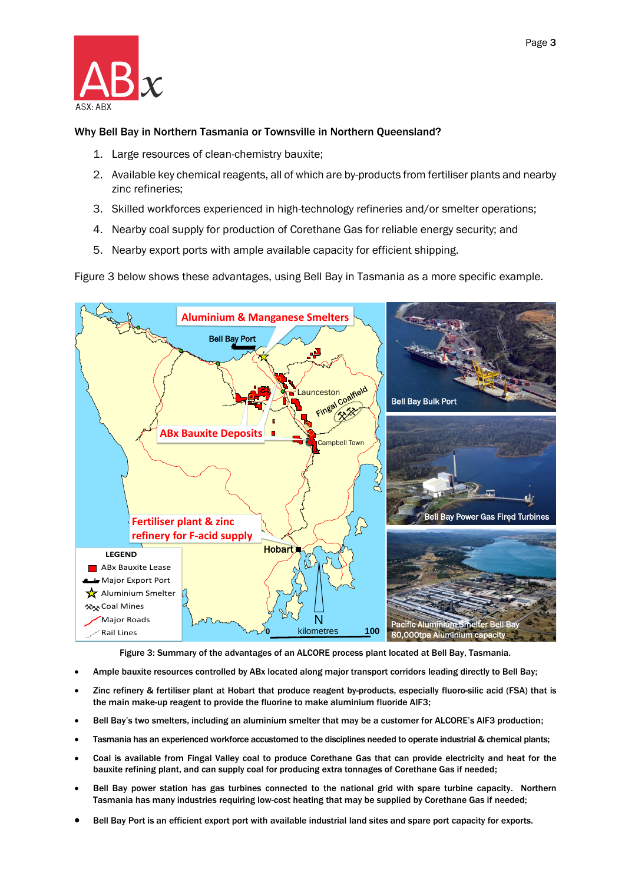

#### Why Bell Bay in Northern Tasmania or Townsville in Northern Queensland?

- 1. Large resources of clean-chemistry bauxite;
- 2. Available key chemical reagents, all of which are by-products from fertiliser plants and nearby zinc refineries;
- 3. Skilled workforces experienced in high-technology refineries and/or smelter operations;
- 4. Nearby coal supply for production of Corethane Gas for reliable energy security; and
- 5. Nearby export ports with ample available capacity for efficient shipping.

Figure 3 below shows these advantages, using Bell Bay in Tasmania as a more specific example.



Figure 3: Summary of the advantages of an ALCORE process plant located at Bell Bay, Tasmania.

- Ample bauxite resources controlled by ABx located along major transport corridors leading directly to Bell Bay;
- Zinc refinery & fertiliser plant at Hobart that produce reagent by-products, especially fluoro-silic acid (FSA) that is the main make-up reagent to provide the fluorine to make aluminium fluoride AlF3;
- Bell Bay's two smelters, including an aluminium smelter that may be a customer for ALCORE's AlF3 production;
- Tasmania has an experienced workforce accustomed to the disciplines needed to operate industrial & chemical plants;
- Coal is available from Fingal Valley coal to produce Corethane Gas that can provide electricity and heat for the bauxite refining plant, and can supply coal for producing extra tonnages of Corethane Gas if needed;
- Bell Bay power station has gas turbines connected to the national grid with spare turbine capacity. Northern Tasmania has many industries requiring low-cost heating that may be supplied by Corethane Gas if needed;
- Bell Bay Port is an efficient export port with available industrial land sites and spare port capacity for exports.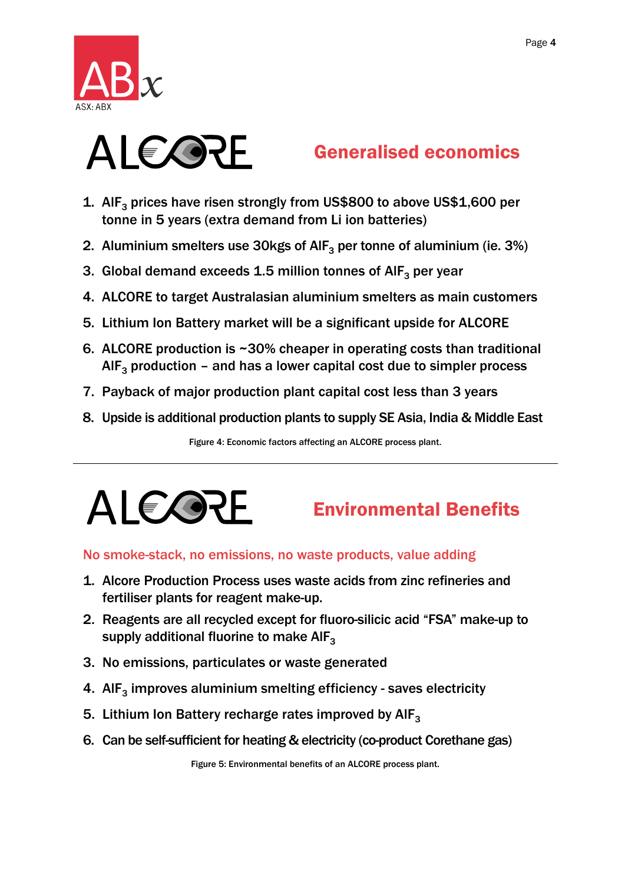



# Generalised economics

- 1. AlF<sub>3</sub> prices have risen strongly from US\$800 to above US\$1,600 per tonne in 5 years (extra demand from Li ion batteries)
- 2. Aluminium smelters use 30kgs of  $\mathsf{AIF}_3$  per tonne of aluminium (ie. 3%)
- 3. Global demand exceeds 1.5 million tonnes of  $AIF_3$  per year
- 4. ALCORE to target Australasian aluminium smelters as main customers
- 5. Lithium Ion Battery market will be a significant upside for ALCORE
- 6. ALCORE production is ~30% cheaper in operating costs than traditional AIF<sub>3</sub> production – and has a lower capital cost due to simpler process
- 7. Payback of major production plant capital cost less than 3 years
- 8. Upside is additional production plants to supply SE Asia, India & Middle East

Figure 4: Economic factors affecting an ALCORE process plant.



# Environmental Benefits

### No smoke-stack, no emissions, no waste products, value adding

- 1. Alcore Production Process uses waste acids from zinc refineries and fertiliser plants for reagent make-up.
- 2. Reagents are all recycled except for fluoro-silicic acid "FSA" make-up to supply additional fluorine to make  $\mathsf{AIF}_{3}$
- 3. No emissions, particulates or waste generated
- 4. AlF<sub>3</sub> improves aluminium smelting efficiency saves electricity
- 5. Lithium Ion Battery recharge rates improved by  $AIF_3$
- 6. Can be self-sufficient for heating & electricity (co-product Corethane gas)

Figure 5: Environmental benefits of an ALCORE process plant.